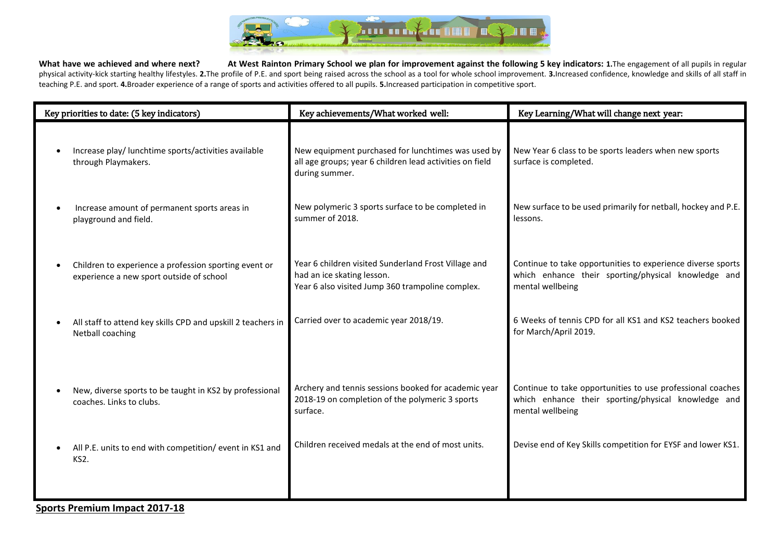

What have we achieved and where next? At West Rainton Primary School we plan for improvement against the following 5 key indicators: 1. The engagement of all pupils in regular physical activity-kick starting healthy lifestyles. 2. The profile of P.E. and sport being raised across the school as a tool for whole school improvement. 3. Increased confidence, knowledge and skills of all staff in teaching P.E. and sport. **4.**Broader experience of a range of sports and activities offered to all pupils. **5.**Increased participation in competitive sport.

| Key priorities to date: (5 key indicators)                                                        | Key achievements/What worked well:                                                                                                     | Key Learning/What will change next year:                                                                                               |  |  |
|---------------------------------------------------------------------------------------------------|----------------------------------------------------------------------------------------------------------------------------------------|----------------------------------------------------------------------------------------------------------------------------------------|--|--|
| Increase play/ lunchtime sports/activities available<br>through Playmakers.                       | New equipment purchased for lunchtimes was used by<br>all age groups; year 6 children lead activities on field<br>during summer.       | New Year 6 class to be sports leaders when new sports<br>surface is completed.                                                         |  |  |
| Increase amount of permanent sports areas in<br>playground and field.                             | New polymeric 3 sports surface to be completed in<br>summer of 2018.                                                                   | New surface to be used primarily for netball, hockey and P.E.<br>lessons.                                                              |  |  |
| Children to experience a profession sporting event or<br>experience a new sport outside of school | Year 6 children visited Sunderland Frost Village and<br>had an ice skating lesson.<br>Year 6 also visited Jump 360 trampoline complex. | Continue to take opportunities to experience diverse sports<br>which enhance their sporting/physical knowledge and<br>mental wellbeing |  |  |
| All staff to attend key skills CPD and upskill 2 teachers in<br>Netball coaching                  | Carried over to academic year 2018/19.                                                                                                 | 6 Weeks of tennis CPD for all KS1 and KS2 teachers booked<br>for March/April 2019.                                                     |  |  |
| New, diverse sports to be taught in KS2 by professional<br>coaches. Links to clubs.               | Archery and tennis sessions booked for academic year<br>2018-19 on completion of the polymeric 3 sports<br>surface.                    | Continue to take opportunities to use professional coaches<br>which enhance their sporting/physical knowledge and<br>mental wellbeing  |  |  |
| All P.E. units to end with competition/ event in KS1 and<br>KS <sub>2</sub> .                     | Children received medals at the end of most units.                                                                                     | Devise end of Key Skills competition for EYSF and lower KS1.                                                                           |  |  |